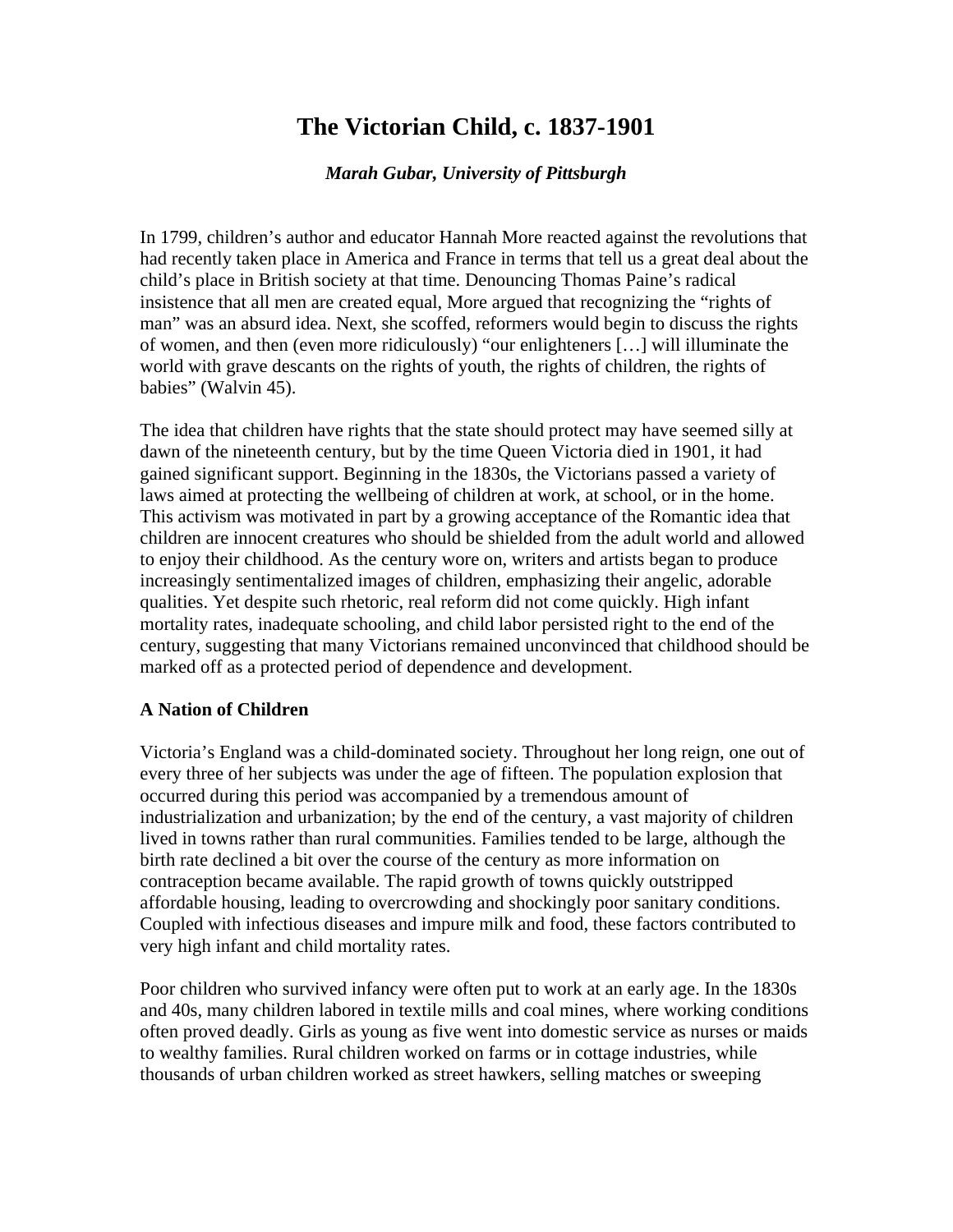# **The Victorian Child, c. 1837-1901**

### *Marah Gubar, University of Pittsburgh*

In 1799, children's author and educator Hannah More reacted against the revolutions that had recently taken place in America and France in terms that tell us a great deal about the child's place in British society at that time. Denouncing Thomas Paine's radical insistence that all men are created equal, More argued that recognizing the "rights of man" was an absurd idea. Next, she scoffed, reformers would begin to discuss the rights of women, and then (even more ridiculously) "our enlighteners […] will illuminate the world with grave descants on the rights of youth, the rights of children, the rights of babies" (Walvin 45).

The idea that children have rights that the state should protect may have seemed silly at dawn of the nineteenth century, but by the time Queen Victoria died in 1901, it had gained significant support. Beginning in the 1830s, the Victorians passed a variety of laws aimed at protecting the wellbeing of children at work, at school, or in the home. This activism was motivated in part by a growing acceptance of the Romantic idea that children are innocent creatures who should be shielded from the adult world and allowed to enjoy their childhood. As the century wore on, writers and artists began to produce increasingly sentimentalized images of children, emphasizing their angelic, adorable qualities. Yet despite such rhetoric, real reform did not come quickly. High infant mortality rates, inadequate schooling, and child labor persisted right to the end of the century, suggesting that many Victorians remained unconvinced that childhood should be marked off as a protected period of dependence and development.

### **A Nation of Children**

Victoria's England was a child-dominated society. Throughout her long reign, one out of every three of her subjects was under the age of fifteen. The population explosion that occurred during this period was accompanied by a tremendous amount of industrialization and urbanization; by the end of the century, a vast majority of children lived in towns rather than rural communities. Families tended to be large, although the birth rate declined a bit over the course of the century as more information on contraception became available. The rapid growth of towns quickly outstripped affordable housing, leading to overcrowding and shockingly poor sanitary conditions. Coupled with infectious diseases and impure milk and food, these factors contributed to very high infant and child mortality rates.

Poor children who survived infancy were often put to work at an early age. In the 1830s and 40s, many children labored in textile mills and coal mines, where working conditions often proved deadly. Girls as young as five went into domestic service as nurses or maids to wealthy families. Rural children worked on farms or in cottage industries, while thousands of urban children worked as street hawkers, selling matches or sweeping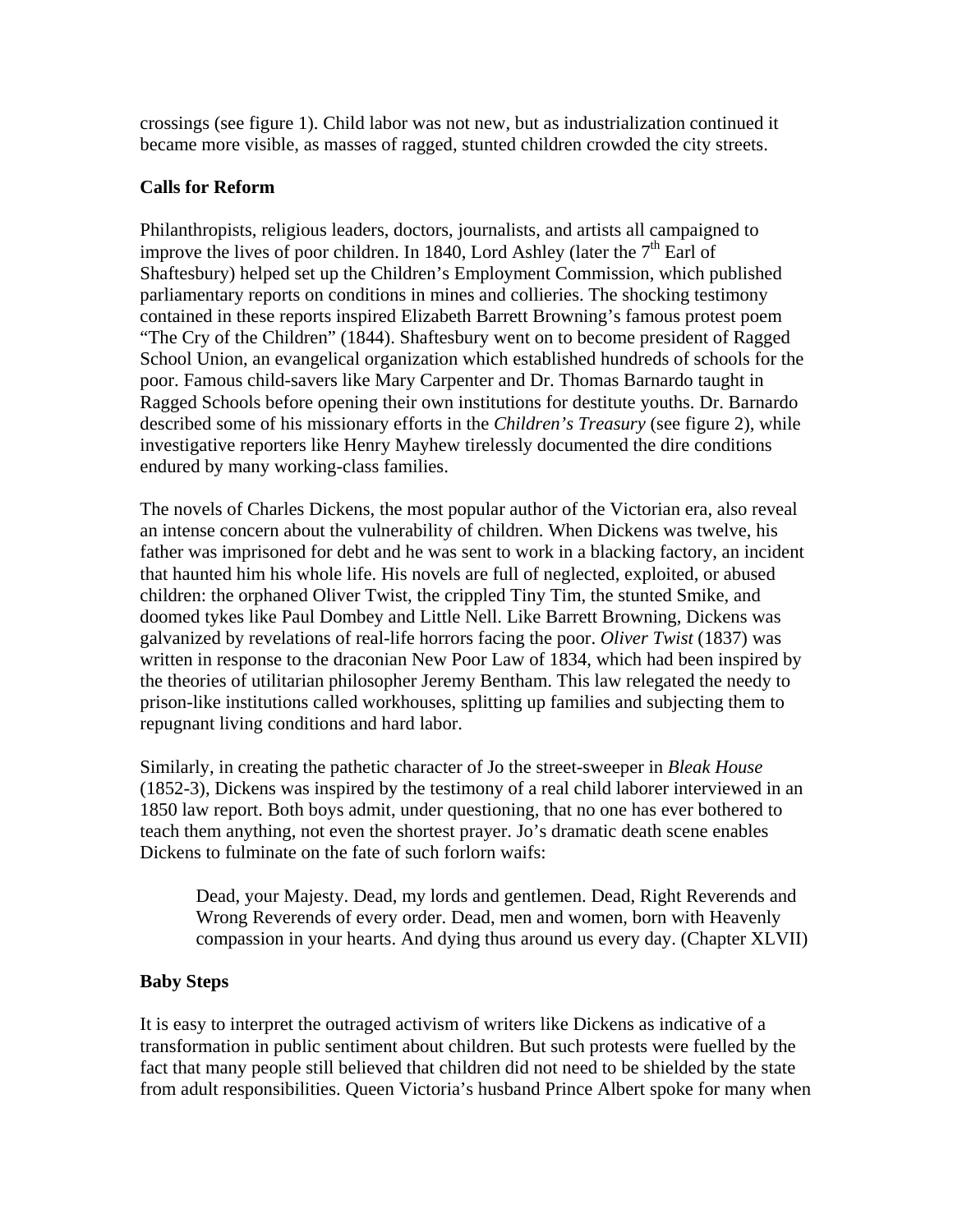crossings (see figure 1). Child labor was not new, but as industrialization continued it became more visible, as masses of ragged, stunted children crowded the city streets.

## **Calls for Reform**

Philanthropists, religious leaders, doctors, journalists, and artists all campaigned to improve the lives of poor children. In 1840, Lord Ashley (later the  $7<sup>th</sup>$  Earl of Shaftesbury) helped set up the Children's Employment Commission, which published parliamentary reports on conditions in mines and collieries. The shocking testimony contained in these reports inspired Elizabeth Barrett Browning's famous protest poem "The Cry of the Children" (1844). Shaftesbury went on to become president of Ragged School Union, an evangelical organization which established hundreds of schools for the poor. Famous child-savers like Mary Carpenter and Dr. Thomas Barnardo taught in Ragged Schools before opening their own institutions for destitute youths. Dr. Barnardo described some of his missionary efforts in the *Children's Treasury* (see figure 2), while investigative reporters like Henry Mayhew tirelessly documented the dire conditions endured by many working-class families.

The novels of Charles Dickens, the most popular author of the Victorian era, also reveal an intense concern about the vulnerability of children. When Dickens was twelve, his father was imprisoned for debt and he was sent to work in a blacking factory, an incident that haunted him his whole life. His novels are full of neglected, exploited, or abused children: the orphaned Oliver Twist, the crippled Tiny Tim, the stunted Smike, and doomed tykes like Paul Dombey and Little Nell. Like Barrett Browning, Dickens was galvanized by revelations of real-life horrors facing the poor. *Oliver Twist* (1837) was written in response to the draconian New Poor Law of 1834, which had been inspired by the theories of utilitarian philosopher Jeremy Bentham. This law relegated the needy to prison-like institutions called workhouses, splitting up families and subjecting them to repugnant living conditions and hard labor.

Similarly, in creating the pathetic character of Jo the street-sweeper in *Bleak House* (1852-3), Dickens was inspired by the testimony of a real child laborer interviewed in an 1850 law report. Both boys admit, under questioning, that no one has ever bothered to teach them anything, not even the shortest prayer. Jo's dramatic death scene enables Dickens to fulminate on the fate of such forlorn waifs:

Dead, your Majesty. Dead, my lords and gentlemen. Dead, Right Reverends and Wrong Reverends of every order. Dead, men and women, born with Heavenly compassion in your hearts. And dying thus around us every day. (Chapter XLVII)

## **Baby Steps**

It is easy to interpret the outraged activism of writers like Dickens as indicative of a transformation in public sentiment about children. But such protests were fuelled by the fact that many people still believed that children did not need to be shielded by the state from adult responsibilities. Queen Victoria's husband Prince Albert spoke for many when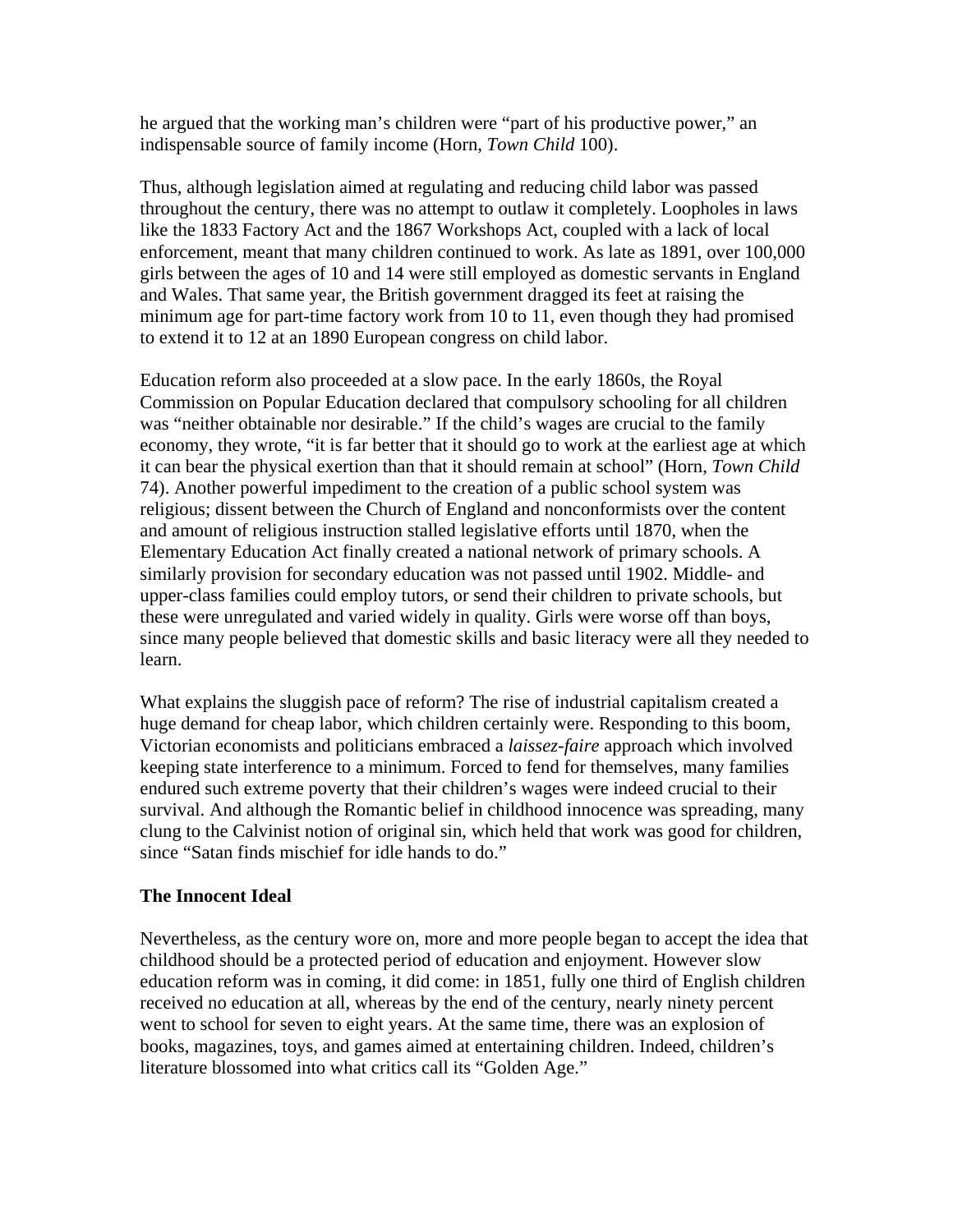he argued that the working man's children were "part of his productive power," an indispensable source of family income (Horn, *Town Child* 100).

Thus, although legislation aimed at regulating and reducing child labor was passed throughout the century, there was no attempt to outlaw it completely. Loopholes in laws like the 1833 Factory Act and the 1867 Workshops Act, coupled with a lack of local enforcement, meant that many children continued to work. As late as 1891, over 100,000 girls between the ages of 10 and 14 were still employed as domestic servants in England and Wales. That same year, the British government dragged its feet at raising the minimum age for part-time factory work from 10 to 11, even though they had promised to extend it to 12 at an 1890 European congress on child labor.

Education reform also proceeded at a slow pace. In the early 1860s, the Royal Commission on Popular Education declared that compulsory schooling for all children was "neither obtainable nor desirable." If the child's wages are crucial to the family economy, they wrote, "it is far better that it should go to work at the earliest age at which it can bear the physical exertion than that it should remain at school" (Horn, *Town Child* 74). Another powerful impediment to the creation of a public school system was religious; dissent between the Church of England and nonconformists over the content and amount of religious instruction stalled legislative efforts until 1870, when the Elementary Education Act finally created a national network of primary schools. A similarly provision for secondary education was not passed until 1902. Middle- and upper-class families could employ tutors, or send their children to private schools, but these were unregulated and varied widely in quality. Girls were worse off than boys, since many people believed that domestic skills and basic literacy were all they needed to learn.

What explains the sluggish pace of reform? The rise of industrial capitalism created a huge demand for cheap labor, which children certainly were. Responding to this boom, Victorian economists and politicians embraced a *laissez-faire* approach which involved keeping state interference to a minimum. Forced to fend for themselves, many families endured such extreme poverty that their children's wages were indeed crucial to their survival. And although the Romantic belief in childhood innocence was spreading, many clung to the Calvinist notion of original sin, which held that work was good for children, since "Satan finds mischief for idle hands to do."

### **The Innocent Ideal**

Nevertheless, as the century wore on, more and more people began to accept the idea that childhood should be a protected period of education and enjoyment. However slow education reform was in coming, it did come: in 1851, fully one third of English children received no education at all, whereas by the end of the century, nearly ninety percent went to school for seven to eight years. At the same time, there was an explosion of books, magazines, toys, and games aimed at entertaining children. Indeed, children's literature blossomed into what critics call its "Golden Age."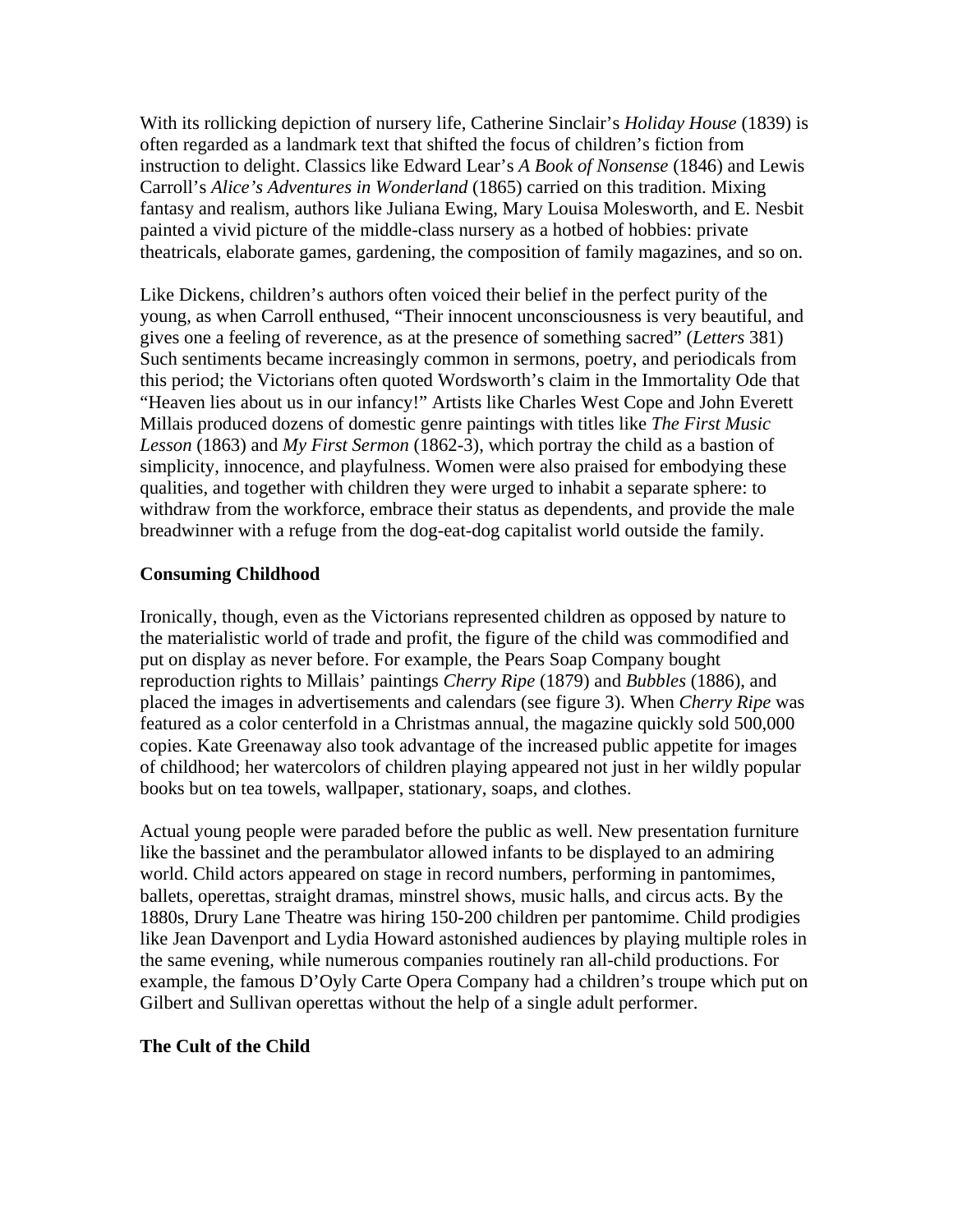With its rollicking depiction of nursery life, Catherine Sinclair's *Holiday House* (1839) is often regarded as a landmark text that shifted the focus of children's fiction from instruction to delight. Classics like Edward Lear's *A Book of Nonsense* (1846) and Lewis Carroll's *Alice's Adventures in Wonderland* (1865) carried on this tradition. Mixing fantasy and realism, authors like Juliana Ewing, Mary Louisa Molesworth, and E. Nesbit painted a vivid picture of the middle-class nursery as a hotbed of hobbies: private theatricals, elaborate games, gardening, the composition of family magazines, and so on.

Like Dickens, children's authors often voiced their belief in the perfect purity of the young, as when Carroll enthused, "Their innocent unconsciousness is very beautiful, and gives one a feeling of reverence, as at the presence of something sacred" (*Letters* 381) Such sentiments became increasingly common in sermons, poetry, and periodicals from this period; the Victorians often quoted Wordsworth's claim in the Immortality Ode that "Heaven lies about us in our infancy!" Artists like Charles West Cope and John Everett Millais produced dozens of domestic genre paintings with titles like *The First Music Lesson* (1863) and *My First Sermon* (1862-3), which portray the child as a bastion of simplicity, innocence, and playfulness. Women were also praised for embodying these qualities, and together with children they were urged to inhabit a separate sphere: to withdraw from the workforce, embrace their status as dependents, and provide the male breadwinner with a refuge from the dog-eat-dog capitalist world outside the family.

### **Consuming Childhood**

Ironically, though, even as the Victorians represented children as opposed by nature to the materialistic world of trade and profit, the figure of the child was commodified and put on display as never before. For example, the Pears Soap Company bought reproduction rights to Millais' paintings *Cherry Ripe* (1879) and *Bubbles* (1886), and placed the images in advertisements and calendars (see figure 3). When *Cherry Ripe* was featured as a color centerfold in a Christmas annual, the magazine quickly sold 500,000 copies. Kate Greenaway also took advantage of the increased public appetite for images of childhood; her watercolors of children playing appeared not just in her wildly popular books but on tea towels, wallpaper, stationary, soaps, and clothes.

Actual young people were paraded before the public as well. New presentation furniture like the bassinet and the perambulator allowed infants to be displayed to an admiring world. Child actors appeared on stage in record numbers, performing in pantomimes, ballets, operettas, straight dramas, minstrel shows, music halls, and circus acts. By the 1880s, Drury Lane Theatre was hiring 150-200 children per pantomime. Child prodigies like Jean Davenport and Lydia Howard astonished audiences by playing multiple roles in the same evening, while numerous companies routinely ran all-child productions. For example, the famous D'Oyly Carte Opera Company had a children's troupe which put on Gilbert and Sullivan operettas without the help of a single adult performer.

### **The Cult of the Child**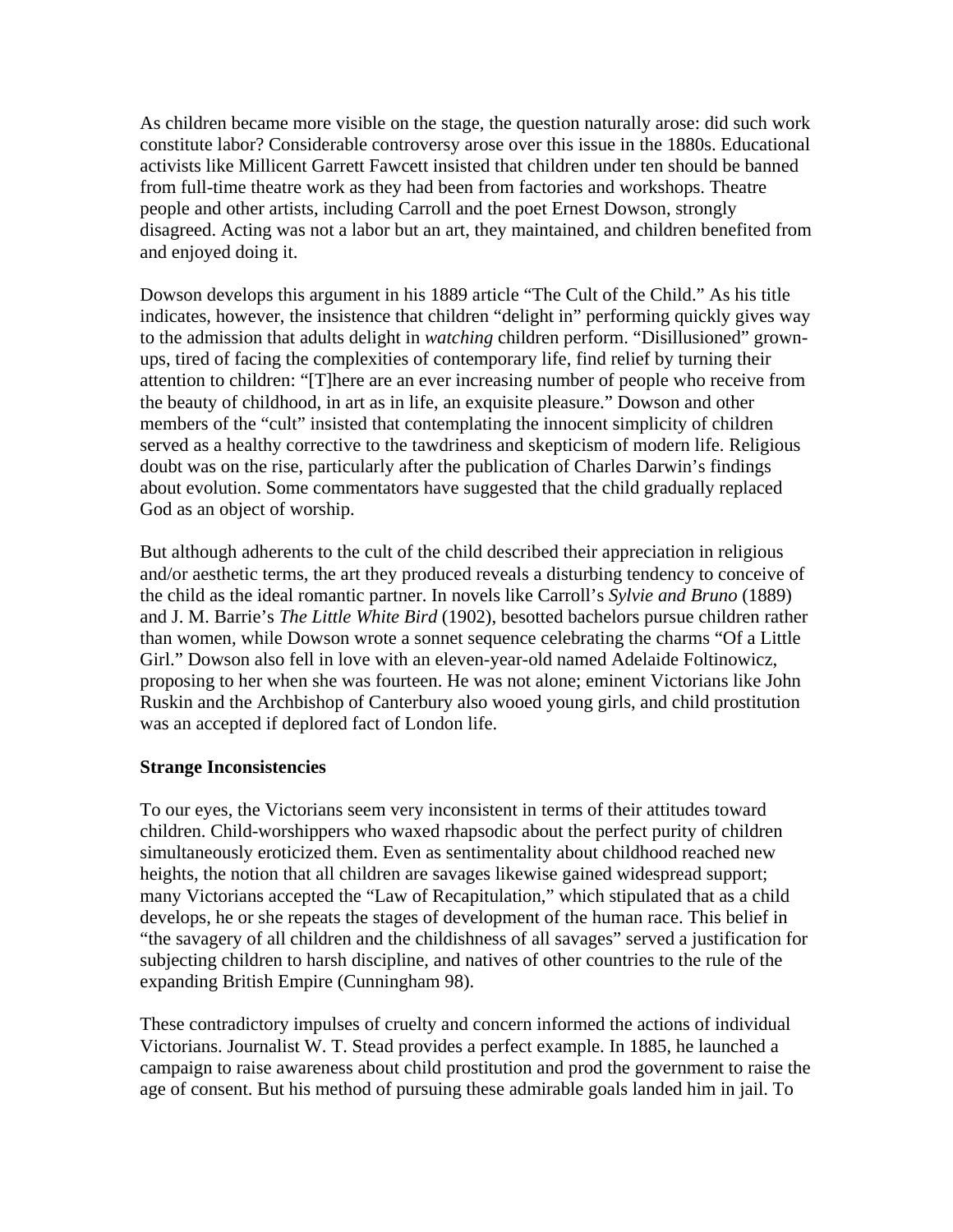As children became more visible on the stage, the question naturally arose: did such work constitute labor? Considerable controversy arose over this issue in the 1880s. Educational activists like Millicent Garrett Fawcett insisted that children under ten should be banned from full-time theatre work as they had been from factories and workshops. Theatre people and other artists, including Carroll and the poet Ernest Dowson, strongly disagreed. Acting was not a labor but an art, they maintained, and children benefited from and enjoyed doing it.

Dowson develops this argument in his 1889 article "The Cult of the Child." As his title indicates, however, the insistence that children "delight in" performing quickly gives way to the admission that adults delight in *watching* children perform. "Disillusioned" grownups, tired of facing the complexities of contemporary life, find relief by turning their attention to children: "[T]here are an ever increasing number of people who receive from the beauty of childhood, in art as in life, an exquisite pleasure." Dowson and other members of the "cult" insisted that contemplating the innocent simplicity of children served as a healthy corrective to the tawdriness and skepticism of modern life. Religious doubt was on the rise, particularly after the publication of Charles Darwin's findings about evolution. Some commentators have suggested that the child gradually replaced God as an object of worship.

But although adherents to the cult of the child described their appreciation in religious and/or aesthetic terms, the art they produced reveals a disturbing tendency to conceive of the child as the ideal romantic partner. In novels like Carroll's *Sylvie and Bruno* (1889) and J. M. Barrie's *The Little White Bird* (1902), besotted bachelors pursue children rather than women, while Dowson wrote a sonnet sequence celebrating the charms "Of a Little Girl." Dowson also fell in love with an eleven-year-old named Adelaide Foltinowicz, proposing to her when she was fourteen. He was not alone; eminent Victorians like John Ruskin and the Archbishop of Canterbury also wooed young girls, and child prostitution was an accepted if deplored fact of London life.

## **Strange Inconsistencies**

To our eyes, the Victorians seem very inconsistent in terms of their attitudes toward children. Child-worshippers who waxed rhapsodic about the perfect purity of children simultaneously eroticized them. Even as sentimentality about childhood reached new heights, the notion that all children are savages likewise gained widespread support; many Victorians accepted the "Law of Recapitulation," which stipulated that as a child develops, he or she repeats the stages of development of the human race. This belief in "the savagery of all children and the childishness of all savages" served a justification for subjecting children to harsh discipline, and natives of other countries to the rule of the expanding British Empire (Cunningham 98).

These contradictory impulses of cruelty and concern informed the actions of individual Victorians. Journalist W. T. Stead provides a perfect example. In 1885, he launched a campaign to raise awareness about child prostitution and prod the government to raise the age of consent. But his method of pursuing these admirable goals landed him in jail. To